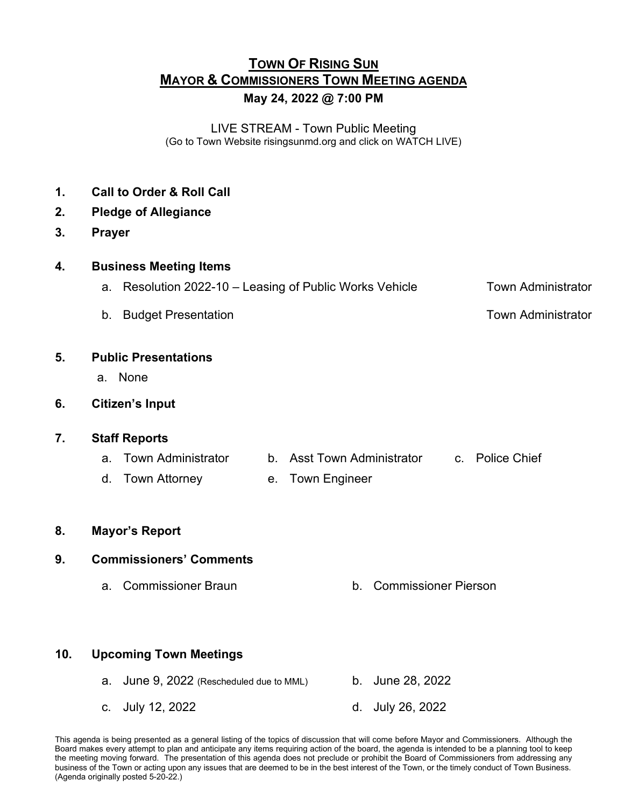# **TOWN OF RISING SUN MAYOR & COMMISSIONERS TOWN MEETING AGENDA May 24, 2022 @ 7:00 PM**

LIVE STREAM - Town Public Meeting (Go to Town Website risingsunmd.org and click on WATCH LIVE)

- **1. Call to Order & Roll Call**
- **2. Pledge of Allegiance**
- **3. Prayer**

| 4. | <b>Business Meeting Items</b> |
|----|-------------------------------|
|----|-------------------------------|

- a. Resolution 2022-10 Leasing of Public Works VehicleTown Administrator
- b. Budget Presentation **b.** Budget Presentation

#### **5. Public Presentations**

- a. None
- **6. Citizen's Input**

#### **7. Staff Reports**

- a. Town Administrator b. Asst Town Administrator c. Police Chief
- d. Town Attorney e. Town Engineer
- **8. Mayor's Report**

### **9. Commissioners' Comments**

a. Commissioner Braun b. Commissioner Pierson

### **10. Upcoming Town Meetings**

- a. June 9, 2022 (Rescheduled due to MML) b. June 28, 2022 c. July 12, 2022 d. July 26, 2022
- This agenda is being presented as a general listing of the topics of discussion that will come before Mayor and Commissioners. Although the Board makes every attempt to plan and anticipate any items requiring action of the board, the agenda is intended to be a planning tool to keep the meeting moving forward. The presentation of this agenda does not preclude or prohibit the Board of Commissioners from addressing any business of the Town or acting upon any issues that are deemed to be in the best interest of the Town, or the timely conduct of Town Business. (Agenda originally posted 5-20-22.)